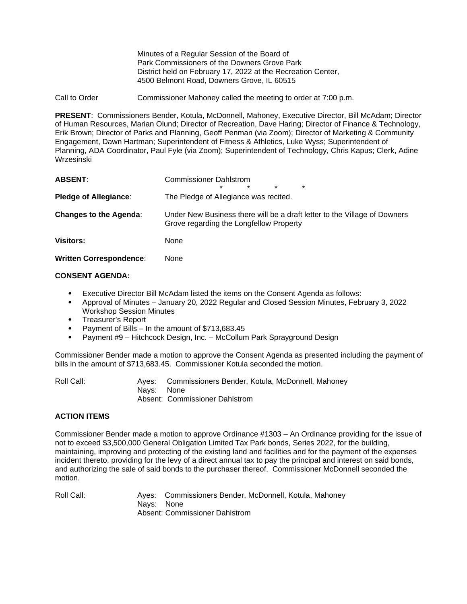Minutes of a Regular Session of the Board of Park Commissioners of the Downers Grove Park District held on February 17, 2022 at the Recreation Center, 4500 Belmont Road, Downers Grove, IL 60515

Call to Order Commissioner Mahoney called the meeting to order at 7:00 p.m.

**PRESENT**: Commissioners Bender, Kotula, McDonnell, Mahoney, Executive Director, Bill McAdam; Director of Human Resources, Marian Olund; Director of Recreation, Dave Haring; Director of Finance & Technology, Erik Brown; Director of Parks and Planning, Geoff Penman (via Zoom); Director of Marketing & Community Engagement, Dawn Hartman; Superintendent of Fitness & Athletics, Luke Wyss; Superintendent of Planning, ADA Coordinator, Paul Fyle (via Zoom); Superintendent of Technology, Chris Kapus; Clerk, Adine Wrzesinski

| <b>ABSENT:</b>                 | <b>Commissioner Dahlstrom</b><br>$\star$<br>$\star$<br>$\star$<br>$\star$                                            |
|--------------------------------|----------------------------------------------------------------------------------------------------------------------|
| <b>Pledge of Allegiance:</b>   | The Pledge of Allegiance was recited.                                                                                |
| <b>Changes to the Agenda:</b>  | Under New Business there will be a draft letter to the Village of Downers<br>Grove regarding the Longfellow Property |
| <b>Visitors:</b>               | None                                                                                                                 |
| <b>Written Correspondence:</b> | None                                                                                                                 |

### **CONSENT AGENDA:**

- Executive Director Bill McAdam listed the items on the Consent Agenda as follows:
- Approval of Minutes January 20, 2022 Regular and Closed Session Minutes, February 3, 2022 Workshop Session Minutes
- Treasurer's Report
- Payment of Bills In the amount of \$713,683.45
- Payment #9 Hitchcock Design, Inc. McCollum Park Sprayground Design

Commissioner Bender made a motion to approve the Consent Agenda as presented including the payment of bills in the amount of \$713,683.45. Commissioner Kotula seconded the motion.

| Roll Call: |            | Ayes: Commissioners Bender, Kotula, McDonnell, Mahoney |
|------------|------------|--------------------------------------------------------|
|            | Navs: None |                                                        |
|            |            | Absent: Commissioner Dahlstrom                         |

# **ACTION ITEMS**

Commissioner Bender made a motion to approve Ordinance #1303 – An Ordinance providing for the issue of not to exceed \$3,500,000 General Obligation Limited Tax Park bonds, Series 2022, for the building, maintaining, improving and protecting of the existing land and facilities and for the payment of the expenses incident thereto, providing for the levy of a direct annual tax to pay the principal and interest on said bonds, and authorizing the sale of said bonds to the purchaser thereof. Commissioner McDonnell seconded the motion.

Roll Call: Ayes: Commissioners Bender, McDonnell, Kotula, Mahoney Nays: None Absent: Commissioner Dahlstrom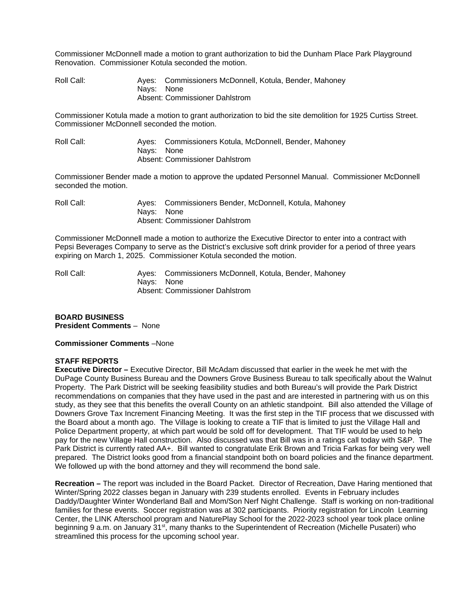Commissioner McDonnell made a motion to grant authorization to bid the Dunham Place Park Playground Renovation. Commissioner Kotula seconded the motion.

Roll Call: Ayes: Commissioners McDonnell, Kotula, Bender, Mahoney Nays: None Absent: Commissioner Dahlstrom

Commissioner Kotula made a motion to grant authorization to bid the site demolition for 1925 Curtiss Street. Commissioner McDonnell seconded the motion.

Roll Call: Ayes: Commissioners Kotula, McDonnell, Bender, Mahoney Nays: None Absent: Commissioner Dahlstrom

Commissioner Bender made a motion to approve the updated Personnel Manual. Commissioner McDonnell seconded the motion.

| Roll Call: |            | Ayes: Commissioners Bender, McDonnell, Kotula, Mahoney |
|------------|------------|--------------------------------------------------------|
|            | Navs: None |                                                        |
|            |            | Absent: Commissioner Dahlstrom                         |

Commissioner McDonnell made a motion to authorize the Executive Director to enter into a contract with Pepsi Beverages Company to serve as the District's exclusive soft drink provider for a period of three years expiring on March 1, 2025. Commissioner Kotula seconded the motion.

Roll Call: Ayes: Commissioners McDonnell, Kotula, Bender, Mahoney Nays: None Absent: Commissioner Dahlstrom

**BOARD BUSINESS President Comments** – None

### **Commissioner Comments** –None

### **STAFF REPORTS**

**Executive Director –** Executive Director, Bill McAdam discussed that earlier in the week he met with the DuPage County Business Bureau and the Downers Grove Business Bureau to talk specifically about the Walnut Property. The Park District will be seeking feasibility studies and both Bureau's will provide the Park District recommendations on companies that they have used in the past and are interested in partnering with us on this study, as they see that this benefits the overall County on an athletic standpoint. Bill also attended the Village of Downers Grove Tax Increment Financing Meeting. It was the first step in the TIF process that we discussed with the Board about a month ago. The Village is looking to create a TIF that is limited to just the Village Hall and Police Department property, at which part would be sold off for development. That TIF would be used to help pay for the new Village Hall construction. Also discussed was that Bill was in a ratings call today with S&P. The Park District is currently rated AA+. Bill wanted to congratulate Erik Brown and Tricia Farkas for being very well prepared. The District looks good from a financial standpoint both on board policies and the finance department. We followed up with the bond attorney and they will recommend the bond sale.

**Recreation –** The report was included in the Board Packet.Director of Recreation, Dave Haring mentioned that Winter/Spring 2022 classes began in January with 239 students enrolled. Events in February includes Daddy/Daughter Winter Wonderland Ball and Mom/Son Nerf Night Challenge. Staff is working on non-traditional families for these events. Soccer registration was at 302 participants. Priority registration for Lincoln Learning Center, the LINK Afterschool program and NaturePlay School for the 2022-2023 school year took place online beginning 9 a.m. on January 31<sup>st</sup>, many thanks to the Superintendent of Recreation (Michelle Pusateri) who streamlined this process for the upcoming school year.